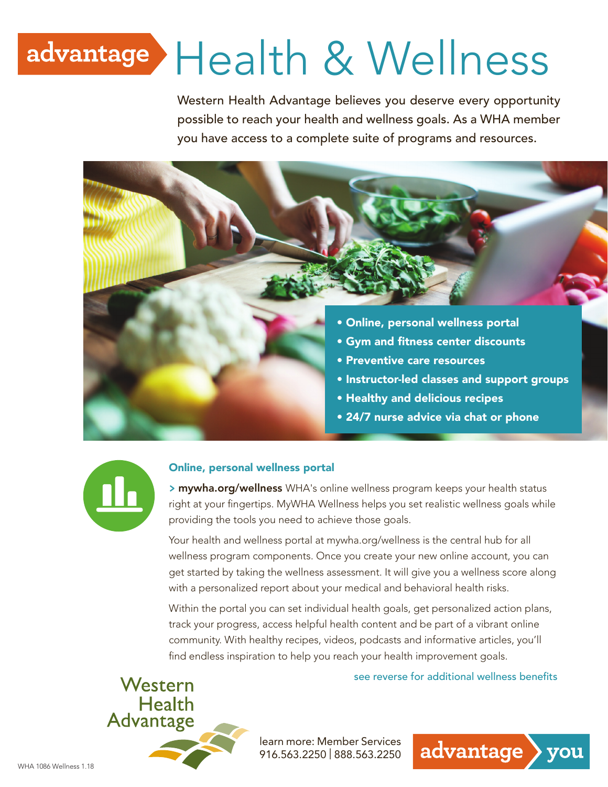# advantage Health & Wellness

Western Health Advantage believes you deserve every opportunity possible to reach your health and wellness goals. As a WHA member you have access to a complete suite of programs and resources.





#### Online, personal wellness portal

**>** mywha.org/wellness WHA's online wellness program keeps your health status right at your fingertips. MyWHA Wellness helps you set realistic wellness goals while providing the tools you need to achieve those goals.

Your health and wellness portal at mywha.org/wellness is the central hub for all wellness program components. Once you create your new online account, you can get started by taking the wellness assessment. It will give you a wellness score along with a personalized report about your medical and behavioral health risks.

Within the portal you can set individual health goals, get personalized action plans, track your progress, access helpful health content and be part of a vibrant online community. With healthy recipes, videos, podcasts and informative articles, you'll find endless inspiration to help you reach your health improvement goals.



see reverse for additional wellness benefits

advantage

you

learn more: Member Services 916.563.2250 | 888.563.2250